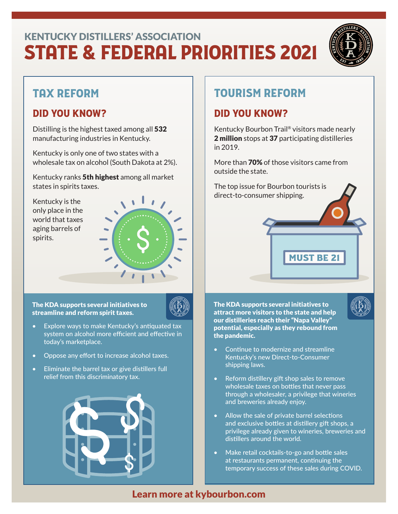# STATE & FEDERAL PRIORITIES 2021 KENTUCKY DISTILLERS' ASSOCIATION



## TAX REFORM

#### DID YOU KNOW?

Distilling is the highest taxed among all 532 manufacturing industries in Kentucky.

Kentucky is only one of two states with a wholesale tax on alcohol (South Dakota at 2%).

Kentucky ranks 5th highest among all market states in spirits taxes.

Kentucky is the only place in the world that taxes aging barrels of spirits.



The KDA supports several initiatives to streamline and reform spirit taxes.



- Explore ways to make Kentucky's antiquated tax system on alcohol more efficient and effective in today's marketplace.
- Oppose any effort to increase alcohol taxes.
- Eliminate the barrel tax or give distillers full relief from this discriminatory tax.



## TOURISM REFORM

#### DID YOU KNOW?

Kentucky Bourbon Trail® visitors made nearly 2 million stops at 37 participating distilleries in 2019.

More than 70% of those visitors came from outside the state.

**MUST BE 2** 

The top issue for Bourbon tourists is direct-to-consumer shipping.

The KDA supports several initiatives to attract more visitors to the state and help our distilleries reach their "Napa Valley" potential, especially as they rebound from the pandemic.



- Continue to modernize and streamline Kentucky's new Direct-to-Consumer shipping laws.
- Reform distillery gift shop sales to remove wholesale taxes on bottles that never pass through a wholesaler, a privilege that wineries and breweries already enjoy.
- Allow the sale of private barrel selections and exclusive bottles at distillery gift shops, a privilege already given to wineries, breweries and distillers around the world.
- Make retail cocktails-to-go and bottle sales at restaurants permanent, continuing the temporary success of these sales during COVID.

#### Learn more at kybourbon.com